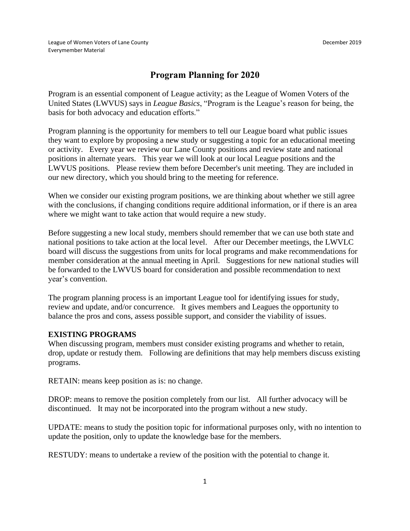## **Program Planning for 2020**

Program is an essential component of League activity; as the League of Women Voters of the United States (LWVUS) says in *League Basics*, "Program is the League's reason for being, the basis for both advocacy and education efforts."

Program planning is the opportunity for members to tell our League board what public issues they want to explore by proposing a new study or suggesting a topic for an educational meeting or activity. Every year we review our Lane County positions and review state and national positions in alternate years. This year we will look at our local League positions and the LWVUS positions. Please review them before December's unit meeting. They are included in our new directory, which you should bring to the meeting for reference.

When we consider our existing program positions, we are thinking about whether we still agree with the conclusions, if changing conditions require additional information, or if there is an area where we might want to take action that would require a new study.

Before suggesting a new local study, members should remember that we can use both state and national positions to take action at the local level. After our December meetings, the LWVLC board will discuss the suggestions from units for local programs and make recommendations for member consideration at the annual meeting in April. Suggestions for new national studies will be forwarded to the LWVUS board for consideration and possible recommendation to next year's convention.

The program planning process is an important League tool for identifying issues for study, review and update, and/or concurrence. It gives members and Leagues the opportunity to balance the pros and cons, assess possible support, and consider the viability of issues.

## **EXISTING PROGRAMS**

When discussing program, members must consider existing programs and whether to retain, drop, update or restudy them. Following are definitions that may help members discuss existing programs.

RETAIN: means keep position as is: no change.

DROP: means to remove the position completely from our list. All further advocacy will be discontinued. It may not be incorporated into the program without a new study.

UPDATE: means to study the position topic for informational purposes only, with no intention to update the position, only to update the knowledge base for the members.

RESTUDY: means to undertake a review of the position with the potential to change it.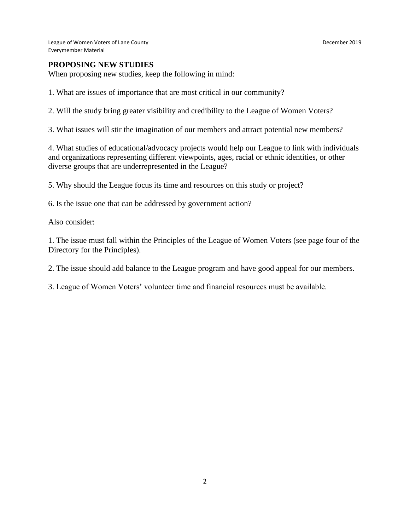League of Women Voters of Lane County **December 2019** Everymember Material

When proposing new studies, keep the following in mind:

1. What are issues of importance that are most critical in our community?

2. Will the study bring greater visibility and credibility to the League of Women Voters?

3. What issues will stir the imagination of our members and attract potential new members?

4. What studies of educational/advocacy projects would help our League to link with individuals and organizations representing different viewpoints, ages, racial or ethnic identities, or other diverse groups that are underrepresented in the League?

5. Why should the League focus its time and resources on this study or project?

6. Is the issue one that can be addressed by government action?

Also consider:

1. The issue must fall within the Principles of the League of Women Voters (see page four of the Directory for the Principles).

2. The issue should add balance to the League program and have good appeal for our members.

3. League of Women Voters' volunteer time and financial resources must be available.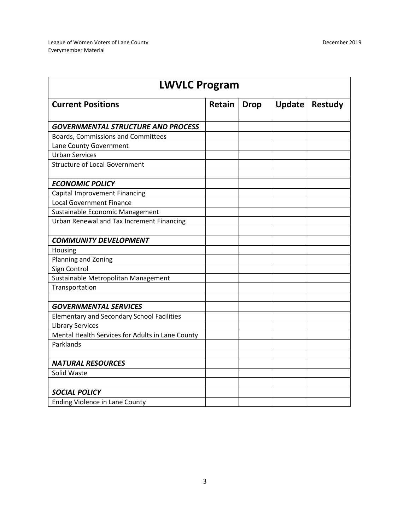| <b>LWVLC Program</b>                              |               |             |               |                |  |  |
|---------------------------------------------------|---------------|-------------|---------------|----------------|--|--|
| <b>Current Positions</b>                          | <b>Retain</b> | <b>Drop</b> | <b>Update</b> | <b>Restudy</b> |  |  |
| <b>GOVERNMENTAL STRUCTURE AND PROCESS</b>         |               |             |               |                |  |  |
| Boards, Commissions and Committees                |               |             |               |                |  |  |
| Lane County Government                            |               |             |               |                |  |  |
| <b>Urban Services</b>                             |               |             |               |                |  |  |
| <b>Structure of Local Government</b>              |               |             |               |                |  |  |
| <b>ECONOMIC POLICY</b>                            |               |             |               |                |  |  |
| Capital Improvement Financing                     |               |             |               |                |  |  |
| <b>Local Government Finance</b>                   |               |             |               |                |  |  |
| Sustainable Economic Management                   |               |             |               |                |  |  |
| Urban Renewal and Tax Increment Financing         |               |             |               |                |  |  |
|                                                   |               |             |               |                |  |  |
| <b>COMMUNITY DEVELOPMENT</b>                      |               |             |               |                |  |  |
| Housing                                           |               |             |               |                |  |  |
| Planning and Zoning                               |               |             |               |                |  |  |
| Sign Control                                      |               |             |               |                |  |  |
| Sustainable Metropolitan Management               |               |             |               |                |  |  |
| Transportation                                    |               |             |               |                |  |  |
|                                                   |               |             |               |                |  |  |
| <b>GOVERNMENTAL SERVICES</b>                      |               |             |               |                |  |  |
| <b>Elementary and Secondary School Facilities</b> |               |             |               |                |  |  |
| <b>Library Services</b>                           |               |             |               |                |  |  |
| Mental Health Services for Adults in Lane County  |               |             |               |                |  |  |
| Parklands                                         |               |             |               |                |  |  |
|                                                   |               |             |               |                |  |  |
| <b>NATURAL RESOURCES</b>                          |               |             |               |                |  |  |
| Solid Waste                                       |               |             |               |                |  |  |
| <b>SOCIAL POLICY</b>                              |               |             |               |                |  |  |
| Ending Violence in Lane County                    |               |             |               |                |  |  |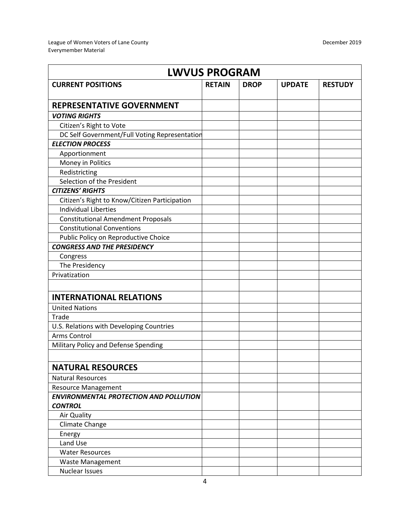| <b>LWVUS PROGRAM</b>                                            |               |             |               |                |  |  |  |
|-----------------------------------------------------------------|---------------|-------------|---------------|----------------|--|--|--|
| <b>CURRENT POSITIONS</b>                                        | <b>RETAIN</b> | <b>DROP</b> | <b>UPDATE</b> | <b>RESTUDY</b> |  |  |  |
| <b>REPRESENTATIVE GOVERNMENT</b>                                |               |             |               |                |  |  |  |
| <b>VOTING RIGHTS</b>                                            |               |             |               |                |  |  |  |
| Citizen's Right to Vote                                         |               |             |               |                |  |  |  |
| DC Self Government/Full Voting Representation                   |               |             |               |                |  |  |  |
| <b>ELECTION PROCESS</b>                                         |               |             |               |                |  |  |  |
| Apportionment                                                   |               |             |               |                |  |  |  |
| Money in Politics                                               |               |             |               |                |  |  |  |
| Redistricting                                                   |               |             |               |                |  |  |  |
| Selection of the President                                      |               |             |               |                |  |  |  |
| <b>CITIZENS' RIGHTS</b>                                         |               |             |               |                |  |  |  |
| Citizen's Right to Know/Citizen Participation                   |               |             |               |                |  |  |  |
| <b>Individual Liberties</b>                                     |               |             |               |                |  |  |  |
| <b>Constitutional Amendment Proposals</b>                       |               |             |               |                |  |  |  |
| <b>Constitutional Conventions</b>                               |               |             |               |                |  |  |  |
| Public Policy on Reproductive Choice                            |               |             |               |                |  |  |  |
| <b>CONGRESS AND THE PRESIDENCY</b>                              |               |             |               |                |  |  |  |
| Congress                                                        |               |             |               |                |  |  |  |
| The Presidency                                                  |               |             |               |                |  |  |  |
| Privatization                                                   |               |             |               |                |  |  |  |
|                                                                 |               |             |               |                |  |  |  |
| <b>INTERNATIONAL RELATIONS</b>                                  |               |             |               |                |  |  |  |
| <b>United Nations</b>                                           |               |             |               |                |  |  |  |
| Trade                                                           |               |             |               |                |  |  |  |
| U.S. Relations with Developing Countries                        |               |             |               |                |  |  |  |
| <b>Arms Control</b>                                             |               |             |               |                |  |  |  |
| Military Policy and Defense Spending                            |               |             |               |                |  |  |  |
|                                                                 |               |             |               |                |  |  |  |
| <b>NATURAL RESOURCES</b>                                        |               |             |               |                |  |  |  |
| <b>Natural Resources</b>                                        |               |             |               |                |  |  |  |
| <b>Resource Management</b>                                      |               |             |               |                |  |  |  |
| <b>ENVIRONMENTAL PROTECTION AND POLLUTION</b><br><b>CONTROL</b> |               |             |               |                |  |  |  |
| Air Quality                                                     |               |             |               |                |  |  |  |
| Climate Change                                                  |               |             |               |                |  |  |  |
| Energy                                                          |               |             |               |                |  |  |  |
| Land Use                                                        |               |             |               |                |  |  |  |
| <b>Water Resources</b>                                          |               |             |               |                |  |  |  |
| Waste Management                                                |               |             |               |                |  |  |  |
| <b>Nuclear Issues</b>                                           |               |             |               |                |  |  |  |